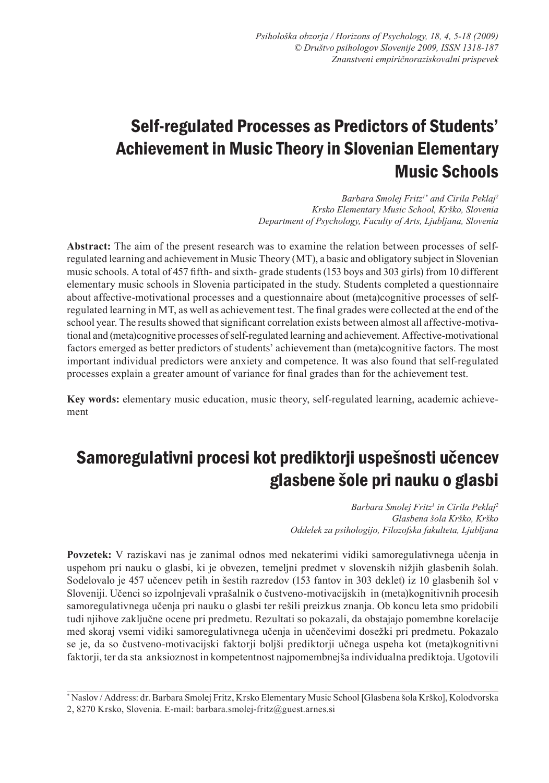# Self-regulated Processes as Predictors of Students' Achievement in Music Theory in Slovenian Elementary Music Schools

*Barbara Smolej Fritz1\* and Cirila Peklaj2 Krsko Elementary Music School, Krško, Slovenia Department of Psychology, Faculty of Arts, Ljubljana, Slovenia*

**Abstract:** The aim of the present research was to examine the relation between processes of selfregulated learning and achievement in Music Theory (MT), a basic and obligatory subject in Slovenian music schools. A total of 457 fifth- and sixth- grade students (153 boys and 303 girls) from 10 different elementary music schools in Slovenia participated in the study. Students completed a questionnaire about affective-motivational processes and a questionnaire about (meta)cognitive processes of selfregulated learning in MT, as well as achievement test. The final grades were collected at the end of the school year. The results showed that significant correlation exists between almost all affective-motivational and (meta)cognitive processes of self-regulated learning and achievement. Affective-motivational factors emerged as better predictors of students' achievement than (meta)cognitive factors. The most important individual predictors were anxiety and competence. It was also found that self-regulated processes explain a greater amount of variance for final grades than for the achievement test.

**Key words:** elementary music education, music theory, self-regulated learning, academic achievement

# Samoregulativni procesi kot prediktorji uspešnosti učencev glasbene šole pri nauku o glasbi

*Barbara Smolej Fritz<sup>1</sup> in Cirila Peklaj2 Glasbena šola Krško, Krško Oddelek za psihologijo, Filozofska fakulteta, Ljubljana*

**Povzetek:** V raziskavi nas je zanimal odnos med nekaterimi vidiki samoregulativnega učenja in uspehom pri nauku o glasbi, ki je obvezen, temeljni predmet v slovenskih nižjih glasbenih šolah. Sodelovalo je 457 učencev petih in šestih razredov (153 fantov in 303 deklet) iz 10 glasbenih šol v Sloveniji. Učenci so izpolnjevali vprašalnik o čustveno-motivacijskih in (meta)kognitivnih procesih samoregulativnega učenja pri nauku o glasbi ter rešili preizkus znanja. Ob koncu leta smo pridobili tudi njihove zaključne ocene pri predmetu. Rezultati so pokazali, da obstajajo pomembne korelacije med skoraj vsemi vidiki samoregulativnega učenja in učenčevimi dosežki pri predmetu. Pokazalo se je, da so čustveno-motivacijski faktorji boljši prediktorji učnega uspeha kot (meta)kognitivni faktorji, ter da sta anksioznost in kompetentnost najpomembnejša individualna prediktoja. Ugotovili

\* Naslov / Address: dr. Barbara Smolej Fritz, Krsko Elementary Music School [Glasbena šola Krško], Kolodvorska 2, 8270 Krsko, Slovenia. E-mail: barbara.smolej-fritz@guest.arnes.si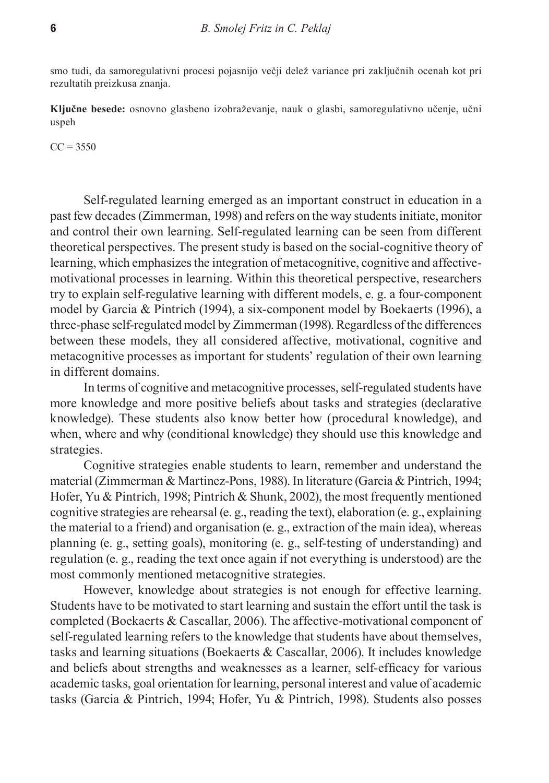smo tudi, da samoregulativni procesi pojasnijo večji delež variance pri zaključnih ocenah kot pri rezultatih preizkusa znanja.

**Ključne besede:** osnovno glasbeno izobraževanje, nauk o glasbi, samoregulativno učenje, učni uspeh

 $CC = 3550$ 

Self-regulated learning emerged as an important construct in education in a past few decades (Zimmerman, 1998) and refers on the way students initiate, monitor and control their own learning. Self-regulated learning can be seen from different theoretical perspectives. The present study is based on the social-cognitive theory of learning, which emphasizes the integration of metacognitive, cognitive and affectivemotivational processes in learning. Within this theoretical perspective, researchers try to explain self-regulative learning with different models, e. g. a four-component model by Garcia & Pintrich (1994), a six-component model by Boekaerts (1996), a three-phase self-regulated model by Zimmerman (1998). Regardless of the differences between these models, they all considered affective, motivational, cognitive and metacognitive processes as important for students' regulation of their own learning in different domains.

In terms of cognitive and metacognitive processes, self-regulated students have more knowledge and more positive beliefs about tasks and strategies (declarative knowledge). These students also know better how (procedural knowledge), and when, where and why (conditional knowledge) they should use this knowledge and strategies.

Cognitive strategies enable students to learn, remember and understand the material (Zimmerman & Martinez-Pons, 1988). In literature (Garcia & Pintrich, 1994; Hofer, Yu & Pintrich, 1998; Pintrich & Shunk, 2002), the most frequently mentioned cognitive strategies are rehearsal (e. g., reading the text), elaboration (e. g., explaining the material to a friend) and organisation (e. g., extraction of the main idea), whereas planning (e. g., setting goals), monitoring (e. g., self-testing of understanding) and regulation (e. g., reading the text once again if not everything is understood) are the most commonly mentioned metacognitive strategies.

However, knowledge about strategies is not enough for effective learning. Students have to be motivated to start learning and sustain the effort until the task is completed (Boekaerts & Cascallar, 2006). The affective-motivational component of self-regulated learning refers to the knowledge that students have about themselves, tasks and learning situations (Boekaerts & Cascallar, 2006). It includes knowledge and beliefs about strengths and weaknesses as a learner, self-efficacy for various academic tasks, goal orientation for learning, personal interest and value of academic tasks (Garcia & Pintrich, 1994; Hofer, Yu & Pintrich, 1998). Students also posses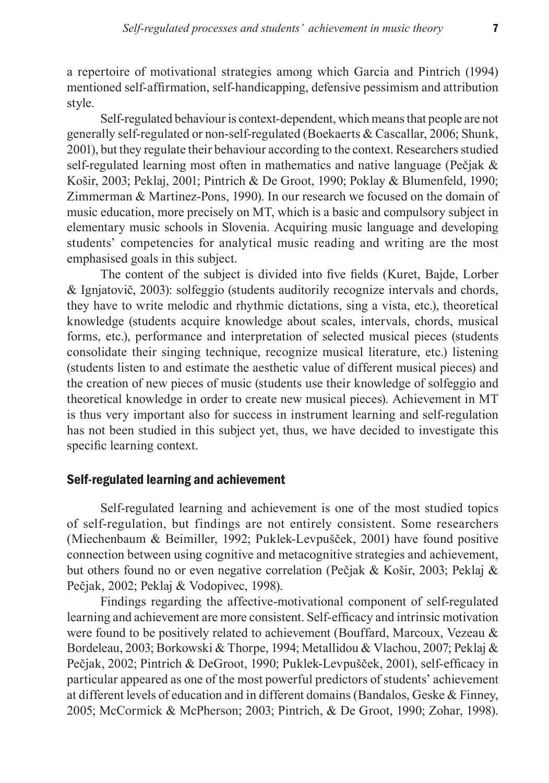a repertoire of motivational strategies among which Garcia and Pintrich (1994) mentioned self-affirmation, self-handicapping, defensive pessimism and attribution style.

Self-regulated behaviour is context-dependent, which means that people are not generally self-regulated or non-self-regulated (Boekaerts & Cascallar, 2006; Shunk, 2001), but they regulate their behaviour according to the context. Researchers studied self-regulated learning most often in mathematics and native language (Pečjak & Košir, 2003; Peklaj, 2001; Pintrich & De Groot, 1990; Poklay & Blumenfeld, 1990; Zimmerman & Martinez-Pons, 1990). In our research we focused on the domain of music education, more precisely on MT, which is a basic and compulsory subject in elementary music schools in Slovenia. Acquiring music language and developing students' competencies for analytical music reading and writing are the most emphasised goals in this subject.

The content of the subject is divided into five fields (Kuret, Bajde, Lorber & Ignjatovič, 2003): solfeggio (students auditorily recognize intervals and chords, they have to write melodic and rhythmic dictations, sing a vista, etc.), theoretical knowledge (students acquire knowledge about scales, intervals, chords, musical forms, etc.), performance and interpretation of selected musical pieces (students consolidate their singing technique, recognize musical literature, etc.) listening (students listen to and estimate the aesthetic value of different musical pieces) and the creation of new pieces of music (students use their knowledge of solfeggio and theoretical knowledge in order to create new musical pieces). Achievement in MT is thus very important also for success in instrument learning and self-regulation has not been studied in this subject yet, thus, we have decided to investigate this specific learning context.

#### Self-regulated learning and achievement

Self-regulated learning and achievement is one of the most studied topics of self-regulation, but findings are not entirely consistent. Some researchers (Miechenbaum & Beimiller, 1992; Puklek-Levpušček, 2001) have found positive connection between using cognitive and metacognitive strategies and achievement, but others found no or even negative correlation (Pečjak & Košir, 2003; Peklaj & Pečjak, 2002; Peklaj & Vodopivec, 1998).

Findings regarding the affective-motivational component of self-regulated learning and achievement are more consistent. Self-efficacy and intrinsic motivation were found to be positively related to achievement (Bouffard, Marcoux, Vezeau & Bordeleau, 2003; Borkowski & Thorpe, 1994; Metallidou & Vlachou, 2007; Peklaj & Pečjak, 2002; Pintrich & DeGroot, 1990; Puklek-Levpušček, 2001), self-efficacy in particular appeared as one of the most powerful predictors of students' achievement at different levels of education and in different domains (Bandalos, Geske & Finney, 2005; McCormick & McPherson; 2003; Pintrich, & De Groot, 1990; Zohar, 1998).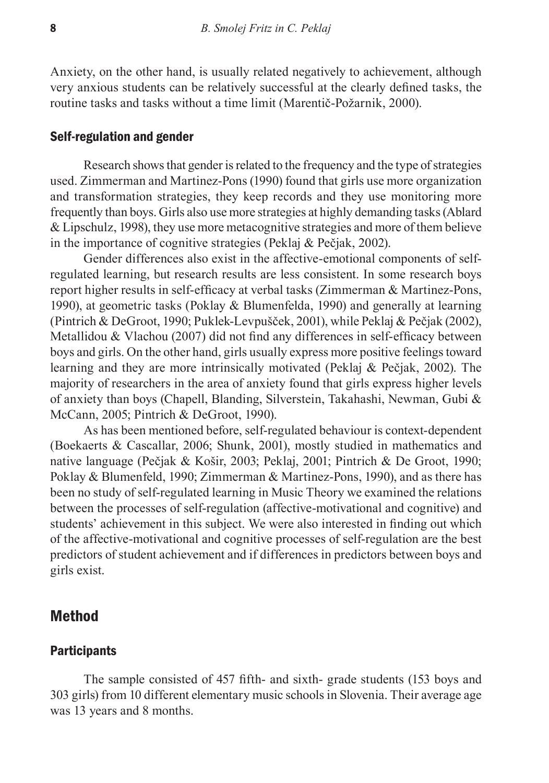Anxiety, on the other hand, is usually related negatively to achievement, although very anxious students can be relatively successful at the clearly defined tasks, the routine tasks and tasks without a time limit (Marentič-Požarnik, 2000).

#### Self-regulation and gender

Research shows that gender is related to the frequency and the type of strategies used. Zimmerman and Martinez-Pons (1990) found that girls use more organization and transformation strategies, they keep records and they use monitoring more frequently than boys. Girls also use more strategies at highly demanding tasks (Ablard & Lipschulz, 1998), they use more metacognitive strategies and more of them believe in the importance of cognitive strategies (Peklaj & Pečjak, 2002).

Gender differences also exist in the affective-emotional components of selfregulated learning, but research results are less consistent. In some research boys report higher results in self-efficacy at verbal tasks (Zimmerman & Martinez-Pons, 1990), at geometric tasks (Poklay & Blumenfelda, 1990) and generally at learning (Pintrich & DeGroot, 1990; Puklek-Levpušček, 2001), while Peklaj & Pečjak (2002), Metallidou & Vlachou (2007) did not find any differences in self-efficacy between boys and girls. On the other hand, girls usually express more positive feelings toward learning and they are more intrinsically motivated (Peklaj & Pečjak, 2002). The majority of researchers in the area of anxiety found that girls express higher levels of anxiety than boys (Chapell, Blanding, Silverstein, Takahashi, Newman, Gubi & McCann, 2005; Pintrich & DeGroot, 1990).

As has been mentioned before, self-regulated behaviour is context-dependent (Boekaerts & Cascallar, 2006; Shunk, 2001), mostly studied in mathematics and native language (Pečjak & Košir, 2003; Peklaj, 2001; Pintrich & De Groot, 1990; Poklay & Blumenfeld, 1990; Zimmerman & Martinez-Pons, 1990), and as there has been no study of self-regulated learning in Music Theory we examined the relations between the processes of self-regulation (affective-motivational and cognitive) and students' achievement in this subject. We were also interested in finding out which of the affective-motivational and cognitive processes of self-regulation are the best predictors of student achievement and if differences in predictors between boys and girls exist.

## Method

#### **Participants**

The sample consisted of 457 fifth- and sixth- grade students (153 boys and 303 girls) from 10 different elementary music schools in Slovenia. Their average age was 13 years and 8 months.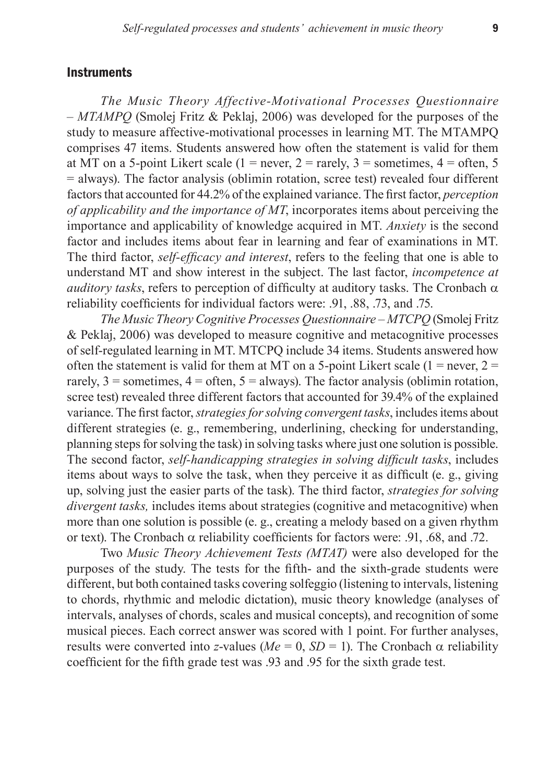### **Instruments**

*The Music Theory Affective-Motivational Processes Questionnaire – MTAMPQ* (Smolej Fritz & Peklaj, 2006) was developed for the purposes of the study to measure affective-motivational processes in learning MT. The MTAMPQ comprises 47 items. Students answered how often the statement is valid for them at MT on a 5-point Likert scale (1 = never, 2 = rarely, 3 = sometimes,  $4 =$  often, 5 = always). The factor analysis (oblimin rotation, scree test) revealed four different factors that accounted for 44.2% of the explained variance. The first factor, *perception of applicability and the importance of MT*, incorporates items about perceiving the importance and applicability of knowledge acquired in MT. *Anxiety* is the second factor and includes items about fear in learning and fear of examinations in MT. The third factor, *self-efficacy and interest*, refers to the feeling that one is able to understand MT and show interest in the subject. The last factor, *incompetence at auditory tasks*, refers to perception of difficulty at auditory tasks. The Cronbach  $\alpha$ reliability coefficients for individual factors were: .91, .88, .73, and .75.

*The Music Theory Cognitive Processes Questionnaire – MTCPQ* (Smolej Fritz & Peklaj, 2006) was developed to measure cognitive and metacognitive processes of self-regulated learning in MT. MTCPQ include 34 items. Students answered how often the statement is valid for them at MT on a 5-point Likert scale  $(1 = never, 2 = 1)$ rarely,  $3 =$  sometimes,  $4 =$  often,  $5 =$  always). The factor analysis (oblimin rotation, scree test) revealed three different factors that accounted for 39.4% of the explained variance. The first factor, *strategies for solving convergent tasks*, includes items about different strategies (e. g., remembering, underlining, checking for understanding, planning steps for solving the task) in solving tasks where just one solution is possible. The second factor, *self-handicapping strategies in solving difficult tasks*, includes items about ways to solve the task, when they perceive it as difficult (e. g., giving up, solving just the easier parts of the task). The third factor, *strategies for solving divergent tasks, includes items about strategies (cognitive and metacognitive)* when more than one solution is possible (e. g., creating a melody based on a given rhythm or text). The Cronbach  $\alpha$  reliability coefficients for factors were: .91, .68, and .72.

Two *Music Theory Achievement Tests (MTAT)* were also developed for the purposes of the study. The tests for the fifth- and the sixth-grade students were different, but both contained tasks covering solfeggio (listening to intervals, listening to chords, rhythmic and melodic dictation), music theory knowledge (analyses of intervals, analyses of chords, scales and musical concepts), and recognition of some musical pieces. Each correct answer was scored with 1 point. For further analyses, results were converted into *z*-values ( $Me = 0$ ,  $SD = 1$ ). The Cronbach  $\alpha$  reliability coefficient for the fifth grade test was .93 and .95 for the sixth grade test.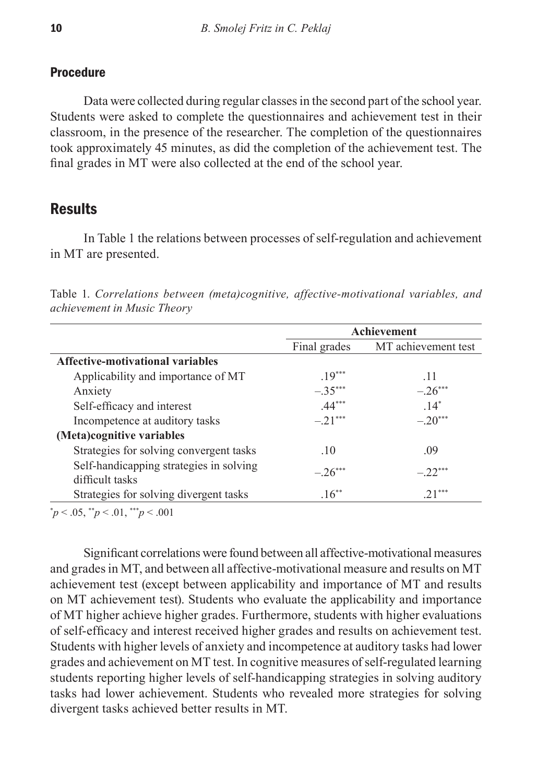### **Procedure**

Data were collected during regular classes in the second part of the school year. Students were asked to complete the questionnaires and achievement test in their classroom, in the presence of the researcher. The completion of the questionnaires took approximately 45 minutes, as did the completion of the achievement test. The final grades in MT were also collected at the end of the school year.

## **Results**

In Table 1 the relations between processes of self-regulation and achievement in MT are presented.

Table 1. *Correlations between (meta)cognitive, affective-motivational variables, and achievement in Music Theory*

|                                                            | Achievement  |                     |  |  |
|------------------------------------------------------------|--------------|---------------------|--|--|
|                                                            | Final grades | MT achievement test |  |  |
| Affective-motivational variables                           |              |                     |  |  |
| Applicability and importance of MT                         | $.19***$     | .11                 |  |  |
| Anxiety                                                    | $-.35***$    | $-.26***$           |  |  |
| Self-efficacy and interest                                 | $.44***$     | $.14*$              |  |  |
| Incompetence at auditory tasks                             | $-.21***$    | $-.20***$           |  |  |
| (Meta)cognitive variables                                  |              |                     |  |  |
| Strategies for solving convergent tasks                    | .10          | .09                 |  |  |
| Self-handicapping strategies in solving<br>difficult tasks | $-.26***$    | $-.22***$           |  |  |
| Strategies for solving divergent tasks                     | $.16***$     | $.21***$            |  |  |

\* *p* < .05, \*\**p* < .01, \*\*\**p* < .001

Significant correlations were found between all affective-motivational measures and grades in MT, and between all affective-motivational measure and results on MT achievement test (except between applicability and importance of MT and results on MT achievement test). Students who evaluate the applicability and importance of MT higher achieve higher grades. Furthermore, students with higher evaluations of self-efficacy and interest received higher grades and results on achievement test. Students with higher levels of anxiety and incompetence at auditory tasks had lower grades and achievement on MT test. In cognitive measures of self-regulated learning students reporting higher levels of self-handicapping strategies in solving auditory tasks had lower achievement. Students who revealed more strategies for solving divergent tasks achieved better results in MT.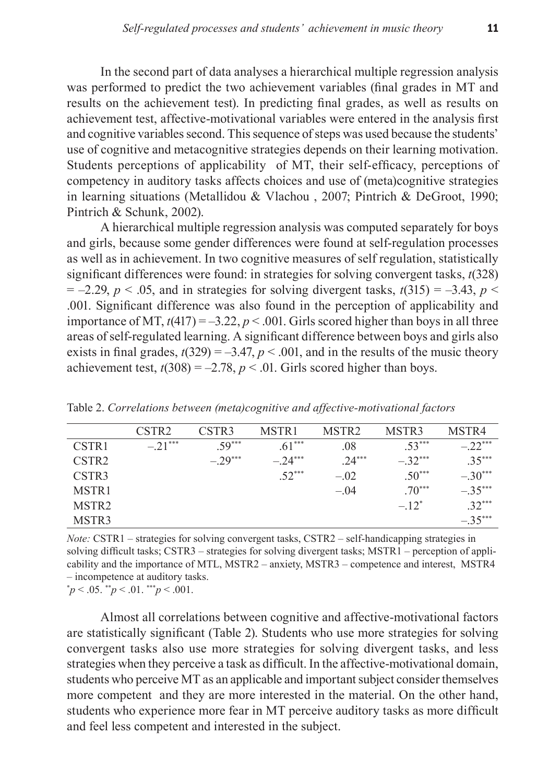In the second part of data analyses a hierarchical multiple regression analysis was performed to predict the two achievement variables (final grades in MT and results on the achievement test). In predicting final grades, as well as results on achievement test, affective-motivational variables were entered in the analysis first and cognitive variables second. This sequence of steps was used because the students' use of cognitive and metacognitive strategies depends on their learning motivation. Students perceptions of applicability of MT, their self-efficacy, perceptions of competency in auditory tasks affects choices and use of (meta)cognitive strategies in learning situations (Metallidou & Vlachou , 2007; Pintrich & DeGroot, 1990; Pintrich & Schunk, 2002).

A hierarchical multiple regression analysis was computed separately for boys and girls, because some gender differences were found at self-regulation processes as well as in achievement. In two cognitive measures of self regulation, statistically significant differences were found: in strategies for solving convergent tasks, *t*(328)  $= -2.29$ ,  $p < .05$ , and in strategies for solving divergent tasks,  $t(315) = -3.43$ ,  $p <$ .001. Significant difference was also found in the perception of applicability and importance of MT,  $t(417) = -3.22$ ,  $p < .001$ . Girls scored higher than boys in all three areas of self-regulated learning. A significant difference between boys and girls also exists in final grades,  $t(329) = -3.47$ ,  $p < .001$ , and in the results of the music theory achievement test,  $t(308) = -2.78$ ,  $p < .01$ . Girls scored higher than boys.

|                   | CSTR <sub>2</sub> | CSTR3     | MSTR1    | MSTR <sub>2</sub> | MSTR3    | MSTR4                |
|-------------------|-------------------|-----------|----------|-------------------|----------|----------------------|
| CSTR <sub>1</sub> | $-.21***$         | $59***$   | $.61***$ | .08               | $.53***$ | $-22$ <sup>***</sup> |
| CSTR <sub>2</sub> |                   | $-.29***$ | $-24***$ | $.24***$          | $-32***$ | $35***$              |
| CSTR3             |                   |           | $.52***$ | $-.02$            | $.50***$ | $-.30***$            |
| MSTR <sub>1</sub> |                   |           |          | $-.04$            | $.70***$ | $-.35***$            |
| MSTR <sub>2</sub> |                   |           |          |                   | $-.12^*$ | $32***$              |
| MSTR3             |                   |           |          |                   |          | $-.35***$            |

Table 2. *Correlations between (meta)cognitive and affective-motivational factors* 

*Note:* CSTR1 – strategies for solving convergent tasks, CSTR2 – self-handicapping strategies in solving difficult tasks; CSTR3 – strategies for solving divergent tasks; MSTR1 – perception of applicability and the importance of MTL, MSTR2 – anxiety, MSTR3 – competence and interest, MSTR4 – incompetence at auditory tasks.

 $p^*p < .05$ .  $\binom{p}{p} < .01$ .  $\binom{p}{p} < .001$ .

Almost all correlations between cognitive and affective-motivational factors are statistically significant (Table 2). Students who use more strategies for solving convergent tasks also use more strategies for solving divergent tasks, and less strategies when they perceive a task as difficult. In the affective-motivational domain, students who perceive MT as an applicable and important subject consider themselves more competent and they are more interested in the material. On the other hand, students who experience more fear in MT perceive auditory tasks as more difficult and feel less competent and interested in the subject.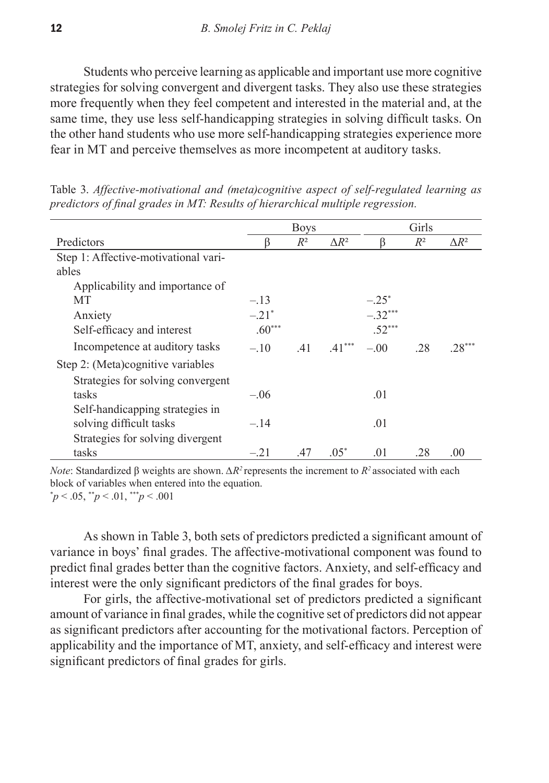Students who perceive learning as applicable and important use more cognitive strategies for solving convergent and divergent tasks. They also use these strategies more frequently when they feel competent and interested in the material and, at the same time, they use less self-handicapping strategies in solving difficult tasks. On the other hand students who use more self-handicapping strategies experience more fear in MT and perceive themselves as more incompetent at auditory tasks.

|                                      | <b>Boys</b>         |       |              | Girls     |       |              |
|--------------------------------------|---------------------|-------|--------------|-----------|-------|--------------|
| Predictors                           |                     | $R^2$ | $\Delta R^2$ | ß         | $R^2$ | $\Delta R^2$ |
| Step 1: Affective-motivational vari- |                     |       |              |           |       |              |
| ables                                |                     |       |              |           |       |              |
| Applicability and importance of      |                     |       |              |           |       |              |
| МT                                   | $-.13$              |       |              | $-.25^*$  |       |              |
| Anxiety                              | $-.21$ <sup>*</sup> |       |              | $-.32***$ |       |              |
| Self-efficacy and interest           | $.60***$            |       |              | $.52***$  |       |              |
| Incompetence at auditory tasks       | $-.10$              | .41   | $.41***$     | $-.00$    | .28   | $28***$      |
| Step 2: (Meta)cognitive variables    |                     |       |              |           |       |              |
| Strategies for solving convergent    |                     |       |              |           |       |              |
| tasks                                | $-.06$              |       |              | .01       |       |              |
| Self-handicapping strategies in      |                     |       |              |           |       |              |
| solving difficult tasks              | $-.14$              |       |              | .01       |       |              |
| Strategies for solving divergent     |                     |       |              |           |       |              |
| tasks                                | $-.21$              | .47   | $.05*$       | .01       | .28   | .00          |

Table 3. *Affective-motivational and (meta)cognitive aspect of self-regulated learning as predictors of final grades in MT: Results of hierarchical multiple regression.*

*Note*: Standardized β weights are shown.  $ΔR^2$  represents the increment to  $R^2$  associated with each block of variables when entered into the equation. \* *p* < .05, \*\**p* < .01, \*\*\**p* < .001

As shown in Table 3, both sets of predictors predicted a significant amount of variance in boys' final grades. The affective-motivational component was found to predict final grades better than the cognitive factors. Anxiety, and self-efficacy and interest were the only significant predictors of the final grades for boys.

For girls, the affective-motivational set of predictors predicted a significant amount of variance in final grades, while the cognitive set of predictors did not appear as significant predictors after accounting for the motivational factors. Perception of applicability and the importance of MT, anxiety, and self-efficacy and interest were significant predictors of final grades for girls.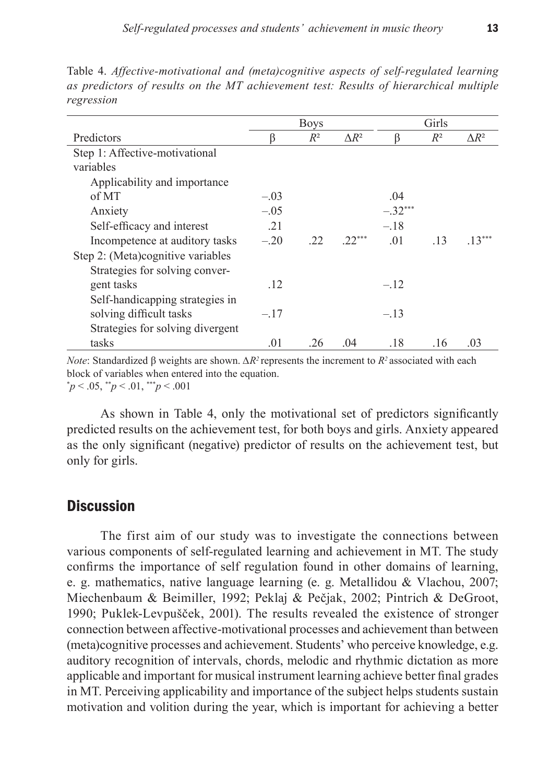|                                   | <b>Boys</b> |       |              | Girls     |       |              |
|-----------------------------------|-------------|-------|--------------|-----------|-------|--------------|
| Predictors                        |             | $R^2$ | $\Delta R^2$ |           | $R^2$ | $\Delta R^2$ |
| Step 1: Affective-motivational    |             |       |              |           |       |              |
| variables                         |             |       |              |           |       |              |
| Applicability and importance      |             |       |              |           |       |              |
| of MT                             | $-.03$      |       |              | .04       |       |              |
| Anxiety                           | $-.05$      |       |              | $-.32***$ |       |              |
| Self-efficacy and interest        | .21         |       |              | $-.18$    |       |              |
| Incompetence at auditory tasks    | $-.20$      | .22   | $.22***$     | $\Omega$  | .13   | $.13***$     |
| Step 2: (Meta)cognitive variables |             |       |              |           |       |              |
| Strategies for solving conver-    |             |       |              |           |       |              |
| gent tasks                        | .12         |       |              | $-.12$    |       |              |
| Self-handicapping strategies in   |             |       |              |           |       |              |
| solving difficult tasks           | $-.17$      |       |              | $-.13$    |       |              |
| Strategies for solving divergent  |             |       |              |           |       |              |
| tasks                             | .01         | .26   | 04           | .18       | .16   | .03          |

Table 4. *Affective-motivational and (meta)cognitive aspects of self-regulated learning as predictors of results on the MT achievement test: Results of hierarchical multiple regression*

*Note*: Standardized β weights are shown.  $ΔR^2$  represents the increment to  $R^2$  associated with each block of variables when entered into the equation. \* *p* < .05, \*\**p* < .01, \*\*\**p* < .001

As shown in Table 4, only the motivational set of predictors significantly predicted results on the achievement test, for both boys and girls. Anxiety appeared as the only significant (negative) predictor of results on the achievement test, but only for girls.

## **Discussion**

The first aim of our study was to investigate the connections between various components of self-regulated learning and achievement in MT. The study confirms the importance of self regulation found in other domains of learning, e. g. mathematics, native language learning (e. g. Metallidou & Vlachou, 2007; Miechenbaum & Beimiller, 1992; Peklaj & Pečjak, 2002; Pintrich & DeGroot, 1990; Puklek-Levpušček, 2001). The results revealed the existence of stronger connection between affective-motivational processes and achievement than between (meta)cognitive processes and achievement. Students' who perceive knowledge, e.g. auditory recognition of intervals, chords, melodic and rhythmic dictation as more applicable and important for musical instrument learning achieve better final grades in MT. Perceiving applicability and importance of the subject helps students sustain motivation and volition during the year, which is important for achieving a better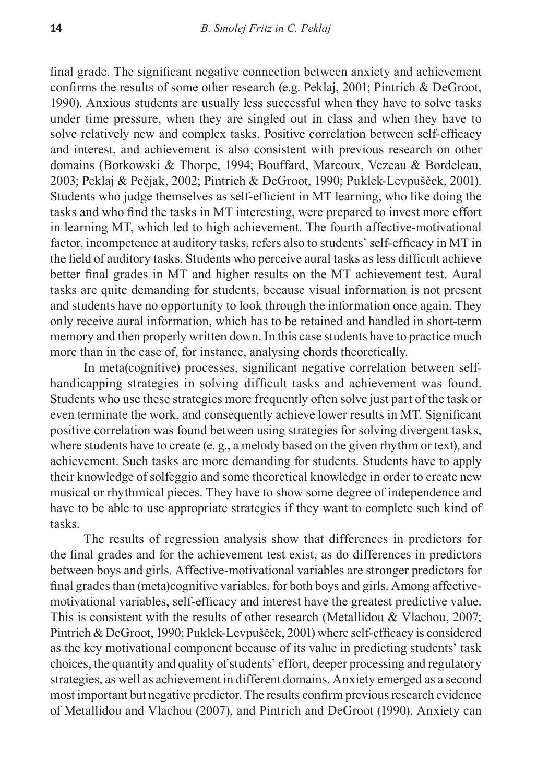final grade. The significant negative connection between anxiety and achievement confirms the results of some other research (e.g. Peklaj, 2001; Pintrich & DeGroot, 1990). Anxious students are usually less successful when they have to solve tasks under time pressure, when they are singled out in class and when they have to solve relatively new and complex tasks. Positive correlation between self-efficacy and interest, and achievement is also consistent with previous research on other domains (Borkowski & Thorpe, 1994; Bouffard, Marcoux, Vezeau & Bordeleau, 2003; Peklaj & Pečjak, 2002; Pintrich & DeGroot, 1990; Puklek-Levpušček, 2001). Students who judge themselves as self-efficient in MT learning, who like doing the tasks and who find the tasks in MT interesting, were prepared to invest more effort in learning MT, which led to high achievement. The fourth affective-motivational factor, incompetence at auditory tasks, refers also to students' self-efficacy in MT in the field of auditory tasks. Students who perceive aural tasks as less difficult achieve better final grades in MT and higher results on the MT achievement test. Aural tasks are quite demanding for students, because visual information is not present and students have no opportunity to look through the information once again. They only receive aural information, which has to be retained and handled in short-term memory and then properly written down. In this case students have to practice much more than in the case of, for instance, analysing chords theoretically.

In meta(cognitive) processes, significant negative correlation between selfhandicapping strategies in solving difficult tasks and achievement was found. Students who use these strategies more frequently often solve just part of the task or even terminate the work, and consequently achieve lower results in MT. Significant positive correlation was found between using strategies for solving divergent tasks, where students have to create (e. g., a melody based on the given rhythm or text), and achievement. Such tasks are more demanding for students. Students have to apply their knowledge of solfeggio and some theoretical knowledge in order to create new musical or rhythmical pieces. They have to show some degree of independence and have to be able to use appropriate strategies if they want to complete such kind of tasks.

The results of regression analysis show that differences in predictors for the final grades and for the achievement test exist, as do differences in predictors between boys and girls. Affective-motivational variables are stronger predictors for final grades than (meta)cognitive variables, for both boys and girls. Among affectivemotivational variables, self-efficacy and interest have the greatest predictive value. This is consistent with the results of other research (Metallidou & Vlachou, 2007; Pintrich & DeGroot, 1990; Puklek-Levpušček, 2001) where self-efficacy is considered as the key motivational component because of its value in predicting students' task choices, the quantity and quality of students' effort, deeper processing and regulatory strategies, as well as achievement in different domains. Anxiety emerged as a second most important but negative predictor. The results confirm previous research evidence of Metallidou and Vlachou (2007), and Pintrich and DeGroot (1990). Anxiety can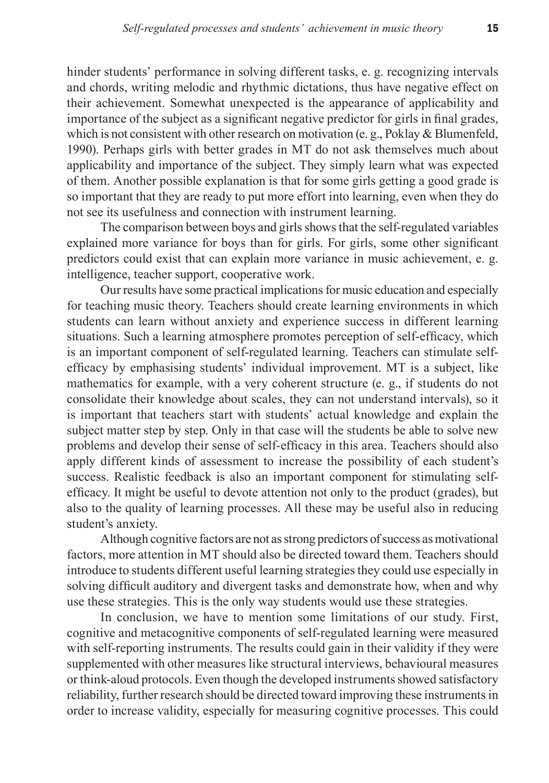hinder students' performance in solving different tasks, e. g. recognizing intervals and chords, writing melodic and rhythmic dictations, thus have negative effect on their achievement. Somewhat unexpected is the appearance of applicability and importance of the subject as a significant negative predictor for girls in final grades, which is not consistent with other research on motivation (e. g., Poklay & Blumenfeld, 1990). Perhaps girls with better grades in MT do not ask themselves much about applicability and importance of the subject. They simply learn what was expected of them. Another possible explanation is that for some girls getting a good grade is so important that they are ready to put more effort into learning, even when they do not see its usefulness and connection with instrument learning.

The comparison between boys and girls shows that the self-regulated variables explained more variance for boys than for girls. For girls, some other significant predictors could exist that can explain more variance in music achievement, e. g. intelligence, teacher support, cooperative work.

Our results have some practical implications for music education and especially for teaching music theory. Teachers should create learning environments in which students can learn without anxiety and experience success in different learning situations. Such a learning atmosphere promotes perception of self-efficacy, which is an important component of self-regulated learning. Teachers can stimulate selfefficacy by emphasising students' individual improvement. MT is a subject, like mathematics for example, with a very coherent structure (e. g., if students do not consolidate their knowledge about scales, they can not understand intervals), so it is important that teachers start with students' actual knowledge and explain the subject matter step by step. Only in that case will the students be able to solve new problems and develop their sense of self-efficacy in this area. Teachers should also apply different kinds of assessment to increase the possibility of each student's success. Realistic feedback is also an important component for stimulating selfefficacy. It might be useful to devote attention not only to the product (grades), but also to the quality of learning processes. All these may be useful also in reducing student's anxiety.

Although cognitive factors are not as strong predictors of success as motivational factors, more attention in MT should also be directed toward them. Teachers should introduce to students different useful learning strategies they could use especially in solving difficult auditory and divergent tasks and demonstrate how, when and why use these strategies. This is the only way students would use these strategies.

In conclusion, we have to mention some limitations of our study. First, cognitive and metacognitive components of self-regulated learning were measured with self-reporting instruments. The results could gain in their validity if they were supplemented with other measures like structural interviews, behavioural measures or think-aloud protocols. Even though the developed instruments showed satisfactory reliability, further research should be directed toward improving these instruments in order to increase validity, especially for measuring cognitive processes. This could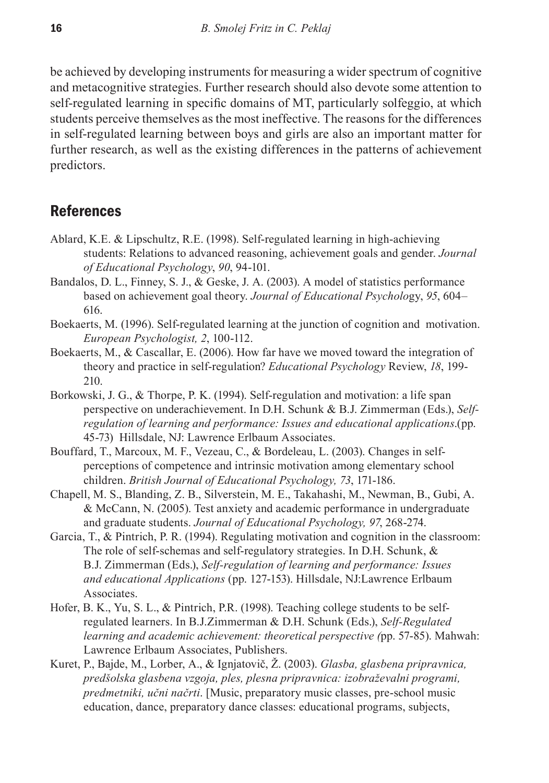be achieved by developing instruments for measuring a wider spectrum of cognitive and metacognitive strategies. Further research should also devote some attention to self-regulated learning in specific domains of MT, particularly solfeggio, at which students perceive themselves as the most ineffective. The reasons for the differences in self-regulated learning between boys and girls are also an important matter for further research, as well as the existing differences in the patterns of achievement predictors.

## **References**

- Ablard, K.E. & Lipschultz, R.E. (1998). Self-regulated learning in high-achieving students: Relations to advanced reasoning, achievement goals and gender. *Journal of Educational Psychology*, *90*, 94-101.
- Bandalos, D. L., Finney, S. J., & Geske, J. A. (2003). A model of statistics performance based on achievement goal theory. *Journal of Educational Psycholo*gy, *95*, 604– 616.
- Boekaerts, M. (1996). Self-regulated learning at the junction of cognition and motivation. *European Psychologist, 2*, 100-112.
- Boekaerts, M., & Cascallar, E. (2006). How far have we moved toward the integration of theory and practice in self-regulation? *Educational Psychology* Review, *18*, 199- 210.
- Borkowski, J. G., & Thorpe, P. K. (1994). Self-regulation and motivation: a life span perspective on underachievement. In D.H. Schunk & B.J. Zimmerman (Eds.), *Selfregulation of learning and performance: Issues and educational applications*.(pp. 45-73)Hillsdale, NJ: Lawrence Erlbaum Associates.
- Bouffard, T., Marcoux, M. F., Vezeau, C., & Bordeleau, L. (2003). Changes in selfperceptions of competence and intrinsic motivation among elementary school children. *British Journal of Educational Psychology, 73*, 171-186.
- Chapell, M. S., Blanding, Z. B., Silverstein, M. E., Takahashi, M., Newman, B., Gubi, A. & McCann, N. (2005). Test anxiety and academic performance in undergraduate and graduate students. *Journal of Educational Psychology, 97*, 268-274.
- Garcia, T., & Pintrich, P. R. (1994). Regulating motivation and cognition in the classroom: The role of self-schemas and self-regulatory strategies. In D.H. Schunk, & B.J. Zimmerman (Eds.), *Self-regulation of learning and performance: Issues and educational Applications* (pp. 127-153). Hillsdale, NJ:Lawrence Erlbaum Associates.
- Hofer, B. K., Yu, S. L., & Pintrich, P.R. (1998). Teaching college students to be selfregulated learners. In B.J.Zimmerman & D.H. Schunk (Eds.), *Self-Regulated learning and academic achievement: theoretical perspective (*pp. 57-85). Mahwah: Lawrence Erlbaum Associates, Publishers.
- Kuret, P., Bajde, M., Lorber, A., & Ignjatovič, Ž. (2003). *Glasba, glasbena pripravnica, predšolska glasbena vzgoja, ples, plesna pripravnica: izobraževalni programi, predmetniki, učni načrti*. [Music, preparatory music classes, pre-school music education, dance, preparatory dance classes: educational programs, subjects,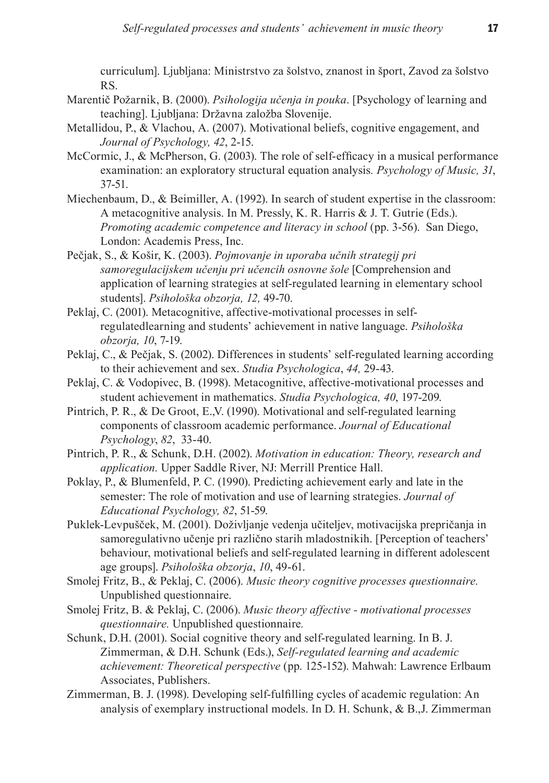curriculum]. Ljubljana: Ministrstvo za šolstvo, znanost in šport, Zavod za šolstvo RS.

- Marentič Požarnik, B. (2000). *Psihologija učenja in pouka*. [Psychology of learning and teaching]. Ljubljana: Državna založba Slovenije.
- Metallidou, P., & Vlachou, A. (2007). Motivational beliefs, cognitive engagement, and *Journal of Psychology, 42*, 2-15.
- McCormic, J., & McPherson, G. (2003). The role of self-efficacy in a musical performance examination: an exploratory structural equation analysis*. Psychology of Music, 31*, 37-51.
- Miechenbaum, D., & Beimiller, A. (1992). In search of student expertise in the classroom: A metacognitive analysis. In M. Pressly, K. R. Harris & J. T. Gutrie (Eds.). *Promoting academic competence and literacy in school* (pp. 3-56). San Diego, London: Academis Press, Inc.
- Pečjak, S., & Košir, K. (2003). *Pojmovanje in uporaba učnih strategij pri samoregulacijskem učenju pri učencih osnovne šole* [Comprehension and application of learning strategies at self-regulated learning in elementary school students]. *Psihološka obzorja, 12,* 49-70.
- Peklaj, C. (2001). Metacognitive, affective-motivational processes in selfregulatedlearning and students' achievement in native language. *Psihološka obzorja, 10*, 7-19.
- Peklaj, C., & Pečjak, S. (2002). Differences in students' self-regulated learning according to their achievement and sex. *Studia Psychologica*, *44,* 29-43.
- Peklaj, C. & Vodopivec, B. (1998). Metacognitive, affective-motivational processes and student achievement in mathematics. *Studia Psychologica, 40*, 197-209.
- Pintrich, P. R., & De Groot, E.,V. (1990). Motivational and self-regulated learning components of classroom academic performance. *Journal of Educational Psychology*, *82*, 33-40.
- Pintrich, P. R., & Schunk, D.H. (2002). *Motivation in education: Theory, research and application.* Upper Saddle River, NJ: Merrill Prentice Hall.
- Poklay, P., & Blumenfeld, P. C. (1990). Predicting achievement early and late in the semester: The role of motivation and use of learning strategies. *Journal of Educational Psychology, 82*, 51-59.
- Puklek-Levpušček, M. (2001). Doživljanje vedenja učiteljev, motivacijska prepričanja in samoregulativno učenje pri različno starih mladostnikih. [Perception of teachers' behaviour, motivational beliefs and self-regulated learning in different adolescent age groups]. *Psihološka obzorja*, *10*, 49-61.
- Smolej Fritz, B., & Peklaj, C. (2006). *Music theory cognitive processes questionnaire.*  Unpublished questionnaire.
- Smolej Fritz, B. & Peklaj, C. (2006). *Music theory affective motivational processes questionnaire.* Unpublished questionnaire*.*
- Schunk, D.H. (2001). Social cognitive theory and self-regulated learning. In B. J. Zimmerman, & D.H. Schunk (Eds.), *Self-regulated learning and academic achievement: Theoretical perspective* (pp. 125-152). Mahwah: Lawrence Erlbaum Associates, Publishers.
- Zimmerman, B. J. (1998). Developing self-fulfilling cycles of academic regulation: An analysis of exemplary instructional models. In D. H. Schunk, & B.,J. Zimmerman